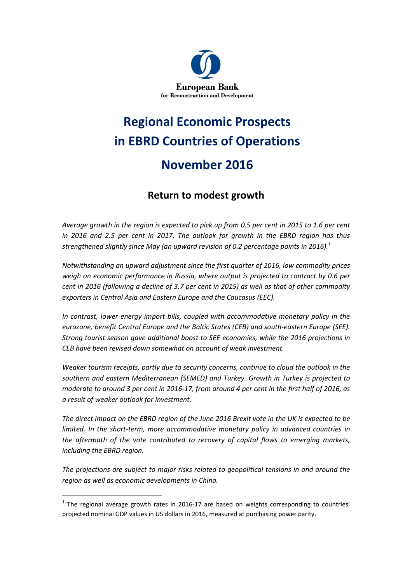

# Regional Economic Prospects in EBRD Countries of Operations November 2016

## Return to modest growth

Average growth in the region is expected to pick up from 0.5 per cent in 2015 to 1.6 per cent in 2016 and 2.5 per cent in 2017. The outlook for growth in the EBRD region has thus strengthened slightly since May (an upward revision of 0.2 percentage points in 2016).<sup>1</sup>

Notwithstanding an upward adjustment since the first quarter of 2016, low commodity prices weigh on economic performance in Russia, where output is projected to contract by 0.6 per cent in 2016 (following a decline of 3.7 per cent in 2015) as well as that of other commodity exporters in Central Asia and Eastern Europe and the Caucasus (EEC).

In contrast, lower energy import bills, coupled with accommodative monetary policy in the eurozone, benefit Central Europe and the Baltic States (CEB) and south-eastern Europe (SEE). Strong tourist season gave additional boost to SEE economies, while the 2016 projections in CEB have been revised down somewhat on account of weak investment.

Weaker tourism receipts, partly due to security concerns, continue to cloud the outlook in the southern and eastern Mediterranean (SEMED) and Turkey. Growth in Turkey is projected to moderate to around 3 per cent in 2016-17, from around 4 per cent in the first half of 2016, as a result of weaker outlook for investment.

The direct impact on the EBRD region of the June 2016 Brexit vote in the UK is expected to be limited. In the short-term, more accommodative monetary policy in advanced countries in the aftermath of the vote contributed to recovery of capital flows to emerging markets, including the EBRD region.

The projections are subject to major risks related to geopolitical tensions in and around the region as well as economic developments in China.

l.

 $<sup>1</sup>$  The regional average growth rates in 2016-17 are based on weights corresponding to countries'</sup> projected nominal GDP values in US dollars in 2016, measured at purchasing power parity.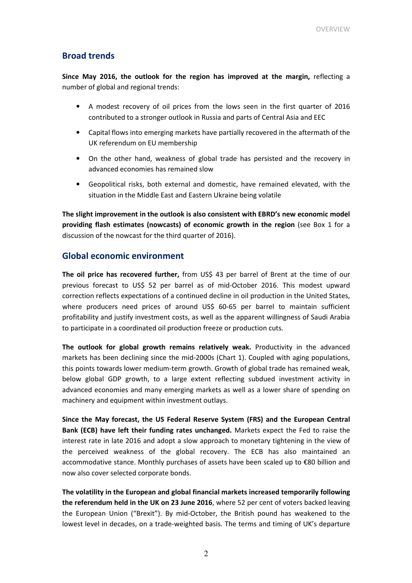## Broad trends

Since May 2016, the outlook for the region has improved at the margin, reflecting a number of global and regional trends:

- A modest recovery of oil prices from the lows seen in the first quarter of 2016 contributed to a stronger outlook in Russia and parts of Central Asia and EEC
- Capital flows into emerging markets have partially recovered in the aftermath of the UK referendum on EU membership
- On the other hand, weakness of global trade has persisted and the recovery in advanced economies has remained slow
- Geopolitical risks, both external and domestic, have remained elevated, with the situation in the Middle East and Eastern Ukraine being volatile

The slight improvement in the outlook is also consistent with EBRD's new economic model providing flash estimates (nowcasts) of economic growth in the region (see Box 1 for a discussion of the nowcast for the third quarter of 2016).

## Global economic environment

The oil price has recovered further, from US\$ 43 per barrel of Brent at the time of our previous forecast to US\$ 52 per barrel as of mid-October 2016. This modest upward correction reflects expectations of a continued decline in oil production in the United States, where producers need prices of around US\$ 60-65 per barrel to maintain sufficient profitability and justify investment costs, as well as the apparent willingness of Saudi Arabia to participate in a coordinated oil production freeze or production cuts.

The outlook for global growth remains relatively weak. Productivity in the advanced markets has been declining since the mid-2000s (Chart 1). Coupled with aging populations, this points towards lower medium-term growth. Growth of global trade has remained weak, below global GDP growth, to a large extent reflecting subdued investment activity in advanced economies and many emerging markets as well as a lower share of spending on machinery and equipment within investment outlays.

Since the May forecast, the US Federal Reserve System (FRS) and the European Central Bank (ECB) have left their funding rates unchanged. Markets expect the Fed to raise the interest rate in late 2016 and adopt a slow approach to monetary tightening in the view of the perceived weakness of the global recovery. The ECB has also maintained an accommodative stance. Monthly purchases of assets have been scaled up to €80 billion and now also cover selected corporate bonds.

The volatility in the European and global financial markets increased temporarily following the referendum held in the UK on 23 June 2016, where 52 per cent of voters backed leaving the European Union ("Brexit"). By mid-October, the British pound has weakened to the lowest level in decades, on a trade-weighted basis. The terms and timing of UK's departure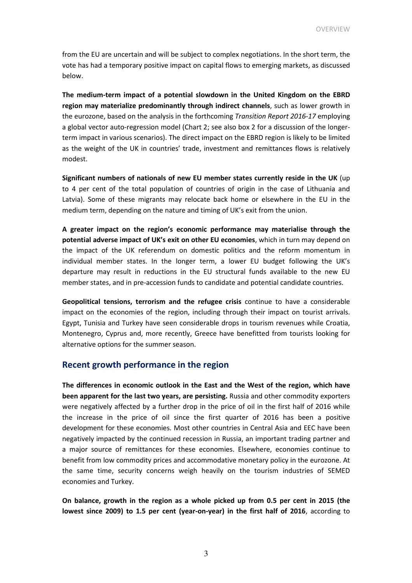from the EU are uncertain and will be subject to complex negotiations. In the short term, the vote has had a temporary positive impact on capital flows to emerging markets, as discussed below.

The medium-term impact of a potential slowdown in the United Kingdom on the EBRD region may materialize predominantly through indirect channels, such as lower growth in the eurozone, based on the analysis in the forthcoming Transition Report 2016-17 employing a global vector auto-regression model (Chart 2; see also box 2 for a discussion of the longerterm impact in various scenarios). The direct impact on the EBRD region is likely to be limited as the weight of the UK in countries' trade, investment and remittances flows is relatively modest.

Significant numbers of nationals of new EU member states currently reside in the UK (up to 4 per cent of the total population of countries of origin in the case of Lithuania and Latvia). Some of these migrants may relocate back home or elsewhere in the EU in the medium term, depending on the nature and timing of UK's exit from the union.

A greater impact on the region's economic performance may materialise through the potential adverse impact of UK's exit on other EU economies, which in turn may depend on the impact of the UK referendum on domestic politics and the reform momentum in individual member states. In the longer term, a lower EU budget following the UK's departure may result in reductions in the EU structural funds available to the new EU member states, and in pre-accession funds to candidate and potential candidate countries.

Geopolitical tensions, terrorism and the refugee crisis continue to have a considerable impact on the economies of the region, including through their impact on tourist arrivals. Egypt, Tunisia and Turkey have seen considerable drops in tourism revenues while Croatia, Montenegro, Cyprus and, more recently, Greece have benefitted from tourists looking for alternative options for the summer season.

## Recent growth performance in the region

The differences in economic outlook in the East and the West of the region, which have been apparent for the last two years, are persisting. Russia and other commodity exporters were negatively affected by a further drop in the price of oil in the first half of 2016 while the increase in the price of oil since the first quarter of 2016 has been a positive development for these economies. Most other countries in Central Asia and EEC have been negatively impacted by the continued recession in Russia, an important trading partner and a major source of remittances for these economies. Elsewhere, economies continue to benefit from low commodity prices and accommodative monetary policy in the eurozone. At the same time, security concerns weigh heavily on the tourism industries of SEMED economies and Turkey.

On balance, growth in the region as a whole picked up from 0.5 per cent in 2015 (the lowest since 2009) to 1.5 per cent (year-on-year) in the first half of 2016, according to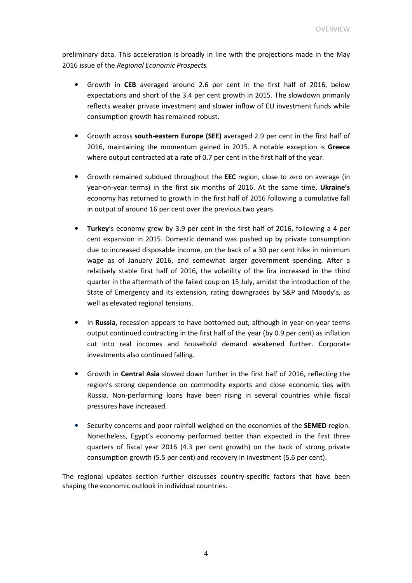preliminary data. This acceleration is broadly in line with the projections made in the May 2016 issue of the Regional Economic Prospects.

- Growth in CEB averaged around 2.6 per cent in the first half of 2016, below expectations and short of the 3.4 per cent growth in 2015. The slowdown primarily reflects weaker private investment and slower inflow of EU investment funds while consumption growth has remained robust.
- Growth across south-eastern Europe (SEE) averaged 2.9 per cent in the first half of 2016, maintaining the momentum gained in 2015. A notable exception is Greece where output contracted at a rate of 0.7 per cent in the first half of the year.
- Growth remained subdued throughout the EEC region, close to zero on average (in year-on-year terms) in the first six months of 2016. At the same time, Ukraine's economy has returned to growth in the first half of 2016 following a cumulative fall in output of around 16 per cent over the previous two years.
- Turkey's economy grew by 3.9 per cent in the first half of 2016, following a 4 per cent expansion in 2015. Domestic demand was pushed up by private consumption due to increased disposable income, on the back of a 30 per cent hike in minimum wage as of January 2016, and somewhat larger government spending. After a relatively stable first half of 2016, the volatility of the lira increased in the third quarter in the aftermath of the failed coup on 15 July, amidst the introduction of the State of Emergency and its extension, rating downgrades by S&P and Moody's, as well as elevated regional tensions.
- In Russia, recession appears to have bottomed out, although in year-on-year terms output continued contracting in the first half of the year (by 0.9 per cent) as inflation cut into real incomes and household demand weakened further. Corporate investments also continued falling.
- Growth in Central Asia slowed down further in the first half of 2016, reflecting the region's strong dependence on commodity exports and close economic ties with Russia. Non-performing loans have been rising in several countries while fiscal pressures have increased.
- Security concerns and poor rainfall weighed on the economies of the SEMED region. Nonetheless, Egypt's economy performed better than expected in the first three quarters of fiscal year 2016 (4.3 per cent growth) on the back of strong private consumption growth (5.5 per cent) and recovery in investment (5.6 per cent).

The regional updates section further discusses country-specific factors that have been shaping the economic outlook in individual countries.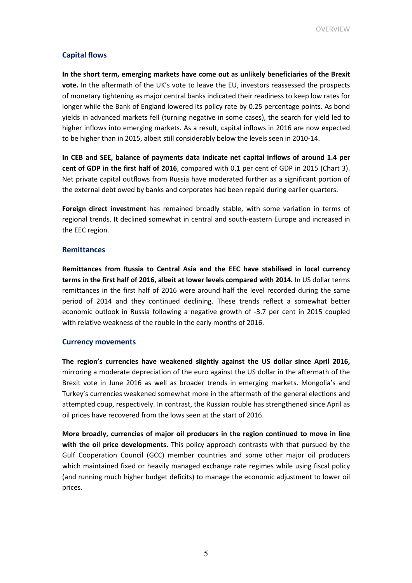## Capital flows

In the short term, emerging markets have come out as unlikely beneficiaries of the Brexit vote. In the aftermath of the UK's vote to leave the EU, investors reassessed the prospects of monetary tightening as major central banks indicated their readiness to keep low rates for longer while the Bank of England lowered its policy rate by 0.25 percentage points. As bond yields in advanced markets fell (turning negative in some cases), the search for yield led to higher inflows into emerging markets. As a result, capital inflows in 2016 are now expected to be higher than in 2015, albeit still considerably below the levels seen in 2010-14.

In CEB and SEE, balance of payments data indicate net capital inflows of around 1.4 per cent of GDP in the first half of 2016, compared with 0.1 per cent of GDP in 2015 (Chart 3). Net private capital outflows from Russia have moderated further as a significant portion of the external debt owed by banks and corporates had been repaid during earlier quarters.

Foreign direct investment has remained broadly stable, with some variation in terms of regional trends. It declined somewhat in central and south-eastern Europe and increased in the EEC region.

## **Remittances**

Remittances from Russia to Central Asia and the EEC have stabilised in local currency terms in the first half of 2016, albeit at lower levels compared with 2014. In US dollar terms remittances in the first half of 2016 were around half the level recorded during the same period of 2014 and they continued declining. These trends reflect a somewhat better economic outlook in Russia following a negative growth of -3.7 per cent in 2015 coupled with relative weakness of the rouble in the early months of 2016.

## Currency movements

The region's currencies have weakened slightly against the US dollar since April 2016, mirroring a moderate depreciation of the euro against the US dollar in the aftermath of the Brexit vote in June 2016 as well as broader trends in emerging markets. Mongolia's and Turkey's currencies weakened somewhat more in the aftermath of the general elections and attempted coup, respectively. In contrast, the Russian rouble has strengthened since April as oil prices have recovered from the lows seen at the start of 2016.

More broadly, currencies of major oil producers in the region continued to move in line with the oil price developments. This policy approach contrasts with that pursued by the Gulf Cooperation Council (GCC) member countries and some other major oil producers which maintained fixed or heavily managed exchange rate regimes while using fiscal policy (and running much higher budget deficits) to manage the economic adjustment to lower oil prices.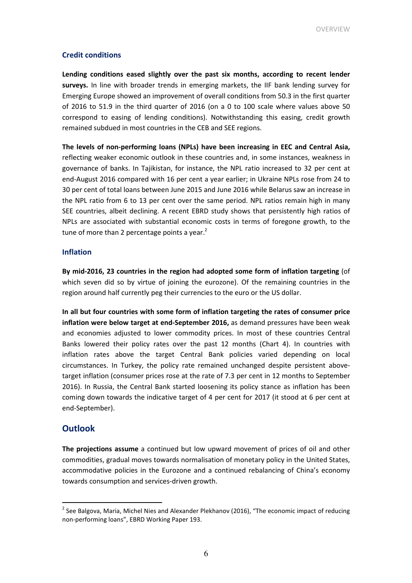## Credit conditions

Lending conditions eased slightly over the past six months, according to recent lender surveys. In line with broader trends in emerging markets, the IIF bank lending survey for Emerging Europe showed an improvement of overall conditions from 50.3 in the first quarter of 2016 to 51.9 in the third quarter of 2016 (on a 0 to 100 scale where values above 50 correspond to easing of lending conditions). Notwithstanding this easing, credit growth remained subdued in most countries in the CEB and SEE regions.

The levels of non-performing loans (NPLs) have been increasing in EEC and Central Asia, reflecting weaker economic outlook in these countries and, in some instances, weakness in governance of banks. In Tajikistan, for instance, the NPL ratio increased to 32 per cent at end-August 2016 compared with 16 per cent a year earlier; in Ukraine NPLs rose from 24 to 30 per cent of total loans between June 2015 and June 2016 while Belarus saw an increase in the NPL ratio from 6 to 13 per cent over the same period. NPL ratios remain high in many SEE countries, albeit declining. A recent EBRD study shows that persistently high ratios of NPLs are associated with substantial economic costs in terms of foregone growth, to the tune of more than 2 percentage points a year. $<sup>2</sup>$ </sup>

#### Inflation

By mid-2016, 23 countries in the region had adopted some form of inflation targeting (of which seven did so by virtue of joining the eurozone). Of the remaining countries in the region around half currently peg their currencies to the euro or the US dollar.

In all but four countries with some form of inflation targeting the rates of consumer price inflation were below target at end-September 2016, as demand pressures have been weak and economies adjusted to lower commodity prices. In most of these countries Central Banks lowered their policy rates over the past 12 months (Chart 4). In countries with inflation rates above the target Central Bank policies varied depending on local circumstances. In Turkey, the policy rate remained unchanged despite persistent abovetarget inflation (consumer prices rose at the rate of 7.3 per cent in 12 months to September 2016). In Russia, the Central Bank started loosening its policy stance as inflation has been coming down towards the indicative target of 4 per cent for 2017 (it stood at 6 per cent at end-September).

## **Outlook**

l.

The projections assume a continued but low upward movement of prices of oil and other commodities, gradual moves towards normalisation of monetary policy in the United States, accommodative policies in the Eurozone and a continued rebalancing of China's economy towards consumption and services-driven growth.

 $^{2}$  See Balgova, Maria, Michel Nies and Alexander Plekhanov (2016), "The economic impact of reducing non-performing loans", EBRD Working Paper 193.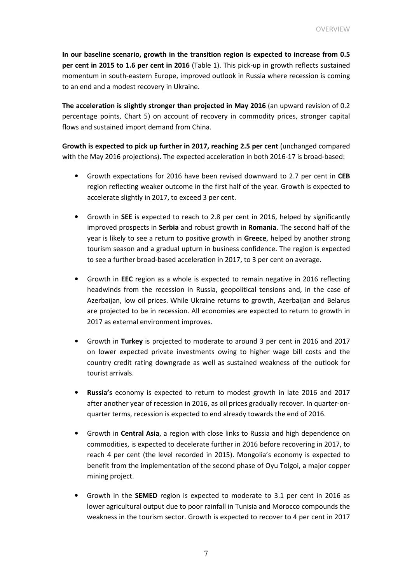In our baseline scenario, growth in the transition region is expected to increase from 0.5 per cent in 2015 to 1.6 per cent in 2016 (Table 1). This pick-up in growth reflects sustained momentum in south-eastern Europe, improved outlook in Russia where recession is coming to an end and a modest recovery in Ukraine.

The acceleration is slightly stronger than projected in May 2016 (an upward revision of 0.2 percentage points, Chart 5) on account of recovery in commodity prices, stronger capital flows and sustained import demand from China.

Growth is expected to pick up further in 2017, reaching 2.5 per cent (unchanged compared with the May 2016 projections). The expected acceleration in both 2016-17 is broad-based:

- Growth expectations for 2016 have been revised downward to 2.7 per cent in CEB region reflecting weaker outcome in the first half of the year. Growth is expected to accelerate slightly in 2017, to exceed 3 per cent.
- Growth in SEE is expected to reach to 2.8 per cent in 2016, helped by significantly improved prospects in Serbia and robust growth in Romania. The second half of the year is likely to see a return to positive growth in Greece, helped by another strong tourism season and a gradual upturn in business confidence. The region is expected to see a further broad-based acceleration in 2017, to 3 per cent on average.
- Growth in EEC region as a whole is expected to remain negative in 2016 reflecting headwinds from the recession in Russia, geopolitical tensions and, in the case of Azerbaijan, low oil prices. While Ukraine returns to growth, Azerbaijan and Belarus are projected to be in recession. All economies are expected to return to growth in 2017 as external environment improves.
- Growth in Turkey is projected to moderate to around 3 per cent in 2016 and 2017 on lower expected private investments owing to higher wage bill costs and the country credit rating downgrade as well as sustained weakness of the outlook for tourist arrivals.
- Russia's economy is expected to return to modest growth in late 2016 and 2017 after another year of recession in 2016, as oil prices gradually recover. In quarter-onquarter terms, recession is expected to end already towards the end of 2016.
- Growth in Central Asia, a region with close links to Russia and high dependence on commodities, is expected to decelerate further in 2016 before recovering in 2017, to reach 4 per cent (the level recorded in 2015). Mongolia's economy is expected to benefit from the implementation of the second phase of Oyu Tolgoi, a major copper mining project.
- Growth in the SEMED region is expected to moderate to 3.1 per cent in 2016 as lower agricultural output due to poor rainfall in Tunisia and Morocco compounds the weakness in the tourism sector. Growth is expected to recover to 4 per cent in 2017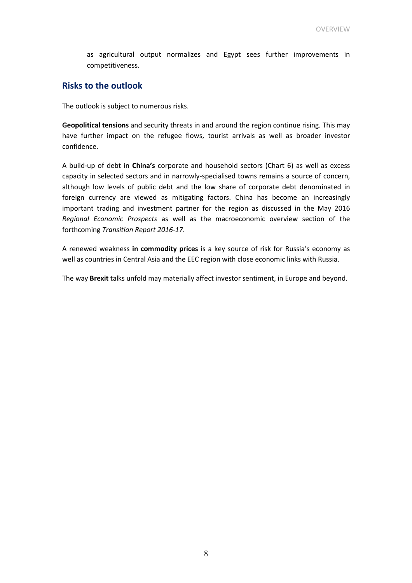as agricultural output normalizes and Egypt sees further improvements in competitiveness.

## Risks to the outlook

The outlook is subject to numerous risks.

Geopolitical tensions and security threats in and around the region continue rising. This may have further impact on the refugee flows, tourist arrivals as well as broader investor confidence.

A build-up of debt in China's corporate and household sectors (Chart 6) as well as excess capacity in selected sectors and in narrowly-specialised towns remains a source of concern, although low levels of public debt and the low share of corporate debt denominated in foreign currency are viewed as mitigating factors. China has become an increasingly important trading and investment partner for the region as discussed in the May 2016 Regional Economic Prospects as well as the macroeconomic overview section of the forthcoming Transition Report 2016-17.

A renewed weakness in commodity prices is a key source of risk for Russia's economy as well as countries in Central Asia and the EEC region with close economic links with Russia.

The way Brexit talks unfold may materially affect investor sentiment, in Europe and beyond.

8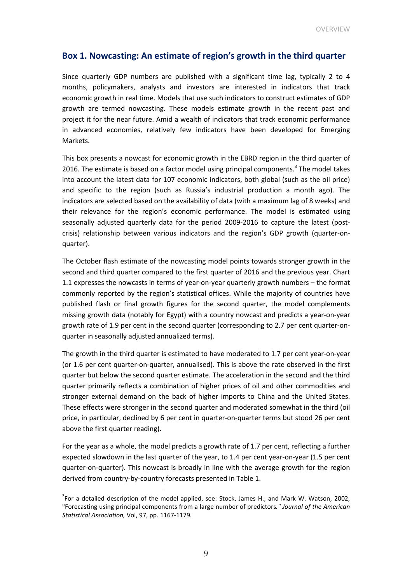## Box 1. Nowcasting: An estimate of region's growth in the third quarter

Since quarterly GDP numbers are published with a significant time lag, typically 2 to 4 months, policymakers, analysts and investors are interested in indicators that track economic growth in real time. Models that use such indicators to construct estimates of GDP growth are termed nowcasting. These models estimate growth in the recent past and project it for the near future. Amid a wealth of indicators that track economic performance in advanced economies, relatively few indicators have been developed for Emerging Markets.

This box presents a nowcast for economic growth in the EBRD region in the third quarter of 2016. The estimate is based on a factor model using principal components.<sup>3</sup> The model takes into account the latest data for 107 economic indicators, both global (such as the oil price) and specific to the region (such as Russia's industrial production a month ago). The indicators are selected based on the availability of data (with a maximum lag of 8 weeks) and their relevance for the region's economic performance. The model is estimated using seasonally adjusted quarterly data for the period 2009-2016 to capture the latest (postcrisis) relationship between various indicators and the region's GDP growth (quarter-onquarter).

The October flash estimate of the nowcasting model points towards stronger growth in the second and third quarter compared to the first quarter of 2016 and the previous year. Chart 1.1 expresses the nowcasts in terms of year-on-year quarterly growth numbers – the format commonly reported by the region's statistical offices. While the majority of countries have published flash or final growth figures for the second quarter, the model complements missing growth data (notably for Egypt) with a country nowcast and predicts a year-on-year growth rate of 1.9 per cent in the second quarter (corresponding to 2.7 per cent quarter-onquarter in seasonally adjusted annualized terms).

The growth in the third quarter is estimated to have moderated to 1.7 per cent year-on-year (or 1.6 per cent quarter-on-quarter, annualised). This is above the rate observed in the first quarter but below the second quarter estimate. The acceleration in the second and the third quarter primarily reflects a combination of higher prices of oil and other commodities and stronger external demand on the back of higher imports to China and the United States. These effects were stronger in the second quarter and moderated somewhat in the third (oil price, in particular, declined by 6 per cent in quarter-on-quarter terms but stood 26 per cent above the first quarter reading).

For the year as a whole, the model predicts a growth rate of 1.7 per cent, reflecting a further expected slowdown in the last quarter of the year, to 1.4 per cent year-on-year (1.5 per cent quarter-on-quarter). This nowcast is broadly in line with the average growth for the region derived from country-by-country forecasts presented in Table 1.

 $\overline{a}$ 

 $3$ For a detailed description of the model applied, see: Stock, James H., and Mark W. Watson, 2002, "Forecasting using principal components from a large number of predictors." Journal of the American Statistical Association, Vol, 97, pp. 1167-1179.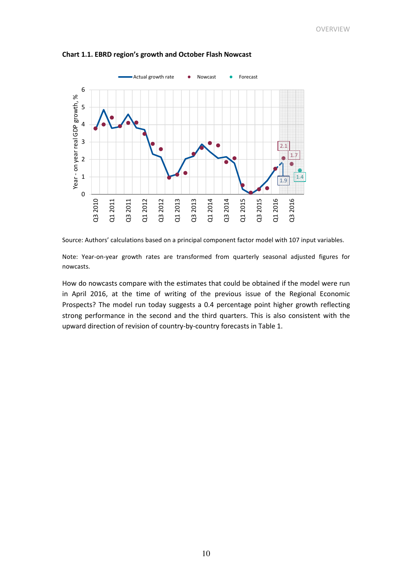

Chart 1.1. EBRD region's growth and October Flash Nowcast



Note: Year-on-year growth rates are transformed from quarterly seasonal adjusted figures for nowcasts.

How do nowcasts compare with the estimates that could be obtained if the model were run in April 2016, at the time of writing of the previous issue of the Regional Economic Prospects? The model run today suggests a 0.4 percentage point higher growth reflecting strong performance in the second and the third quarters. This is also consistent with the upward direction of revision of country-by-country forecasts in Table 1.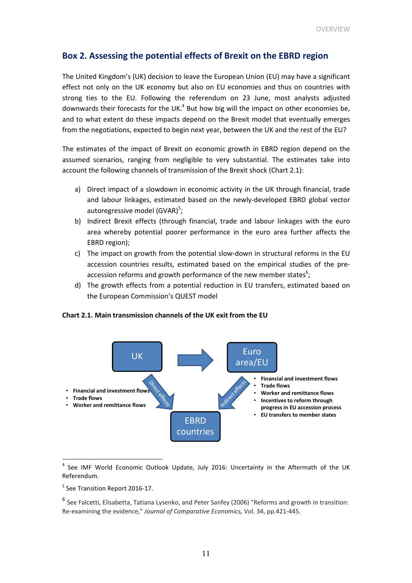## Box 2. Assessing the potential effects of Brexit on the EBRD region

The United Kingdom's (UK) decision to leave the European Union (EU) may have a significant effect not only on the UK economy but also on EU economies and thus on countries with strong ties to the EU. Following the referendum on 23 June, most analysts adjusted downwards their forecasts for the UK. $<sup>4</sup>$  But how big will the impact on other economies be,</sup> and to what extent do these impacts depend on the Brexit model that eventually emerges from the negotiations, expected to begin next year, between the UK and the rest of the EU?

The estimates of the impact of Brexit on economic growth in EBRD region depend on the assumed scenarios, ranging from negligible to very substantial. The estimates take into account the following channels of transmission of the Brexit shock (Chart 2.1):

- a) Direct impact of a slowdown in economic activity in the UK through financial, trade and labour linkages, estimated based on the newly-developed EBRD global vector autoregressive model (GVAR)<sup>5</sup>;
- b) Indirect Brexit effects (through financial, trade and labour linkages with the euro area whereby potential poorer performance in the euro area further affects the EBRD region);
- c) The impact on growth from the potential slow-down in structural reforms in the EU accession countries results, estimated based on the empirical studies of the preaccession reforms and growth performance of the new member states $6$ ;
- d) The growth effects from a potential reduction in EU transfers, estimated based on the European Commission's QUEST model

Chart 2.1. Main transmission channels of the UK exit from the EU



<sup>&</sup>lt;sup>4</sup> See IMF World Economic Outlook Update, July 2016: Uncertainty in the Aftermath of the UK Referendum.

l.

<sup>&</sup>lt;sup>5</sup> See Transition Report 2016-17.

<sup>6</sup> See Falcetti, Elisabetta, Tatiana Lysenko, and Peter Sanfey (2006) "Reforms and growth in transition: Re-examining the evidence," Journal of Comparative Economics, Vol. 34, pp.421-445.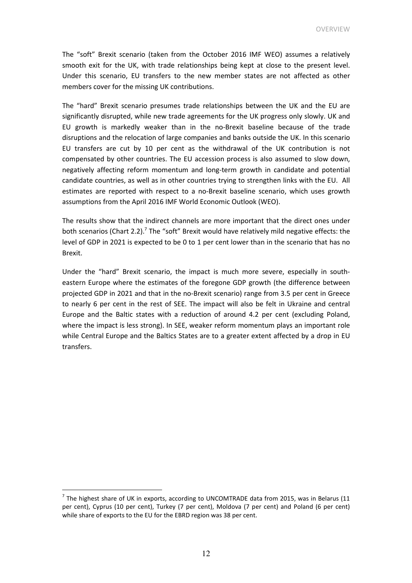The "soft" Brexit scenario (taken from the October 2016 IMF WEO) assumes a relatively smooth exit for the UK, with trade relationships being kept at close to the present level. Under this scenario, EU transfers to the new member states are not affected as other members cover for the missing UK contributions.

The "hard" Brexit scenario presumes trade relationships between the UK and the EU are significantly disrupted, while new trade agreements for the UK progress only slowly. UK and EU growth is markedly weaker than in the no-Brexit baseline because of the trade disruptions and the relocation of large companies and banks outside the UK. In this scenario EU transfers are cut by 10 per cent as the withdrawal of the UK contribution is not compensated by other countries. The EU accession process is also assumed to slow down, negatively affecting reform momentum and long-term growth in candidate and potential candidate countries, as well as in other countries trying to strengthen links with the EU. All estimates are reported with respect to a no-Brexit baseline scenario, which uses growth assumptions from the April 2016 IMF World Economic Outlook (WEO).

The results show that the indirect channels are more important that the direct ones under both scenarios (Chart 2.2).<sup>7</sup> The "soft" Brexit would have relatively mild negative effects: the level of GDP in 2021 is expected to be 0 to 1 per cent lower than in the scenario that has no Brexit.

Under the "hard" Brexit scenario, the impact is much more severe, especially in southeastern Europe where the estimates of the foregone GDP growth (the difference between projected GDP in 2021 and that in the no-Brexit scenario) range from 3.5 per cent in Greece to nearly 6 per cent in the rest of SEE. The impact will also be felt in Ukraine and central Europe and the Baltic states with a reduction of around 4.2 per cent (excluding Poland, where the impact is less strong). In SEE, weaker reform momentum plays an important role while Central Europe and the Baltics States are to a greater extent affected by a drop in EU transfers.

 $\overline{a}$ 

 $^7$  The highest share of UK in exports, according to UNCOMTRADE data from 2015, was in Belarus (11 per cent), Cyprus (10 per cent), Turkey (7 per cent), Moldova (7 per cent) and Poland (6 per cent) while share of exports to the EU for the EBRD region was 38 per cent.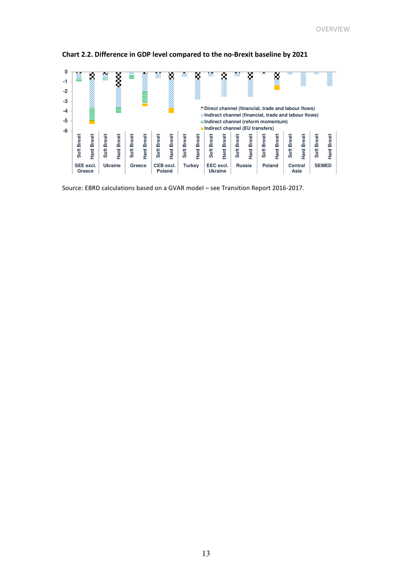

Chart 2.2. Difference in GDP level compared to the no-Brexit baseline by 2021

Source: EBRD calculations based on a GVAR model – see Transition Report 2016-2017.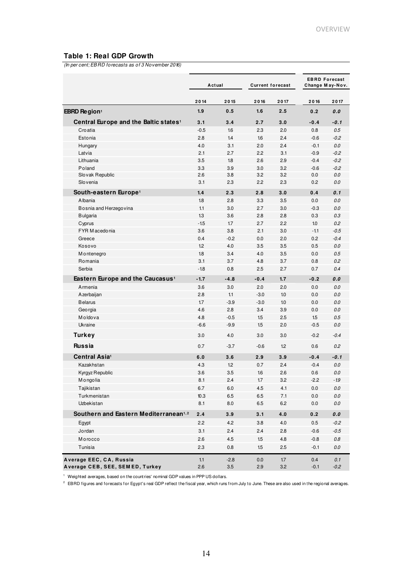## **Table 1: Real GDP Growth**

(In per cent; EBRD forecasts as of 3 November 2016)

|                                                   | Actual |         | <b>Current forecast</b> |         | <b>EBRD Forecast</b><br>Change May-Nov. |                   |
|---------------------------------------------------|--------|---------|-------------------------|---------|-----------------------------------------|-------------------|
|                                                   | 2014   | 2015    | 2016                    | 2017    | 2016                                    | 2017              |
| EBRD Region <sup>1</sup>                          | 1.9    | 0.5     | 1.6                     | 2.5     | 0.2                                     | 0.0               |
| Central Europe and the Baltic states <sup>1</sup> | 3.1    | 3.4     | 2.7                     | 3.0     | $-0.4$                                  | -0.1              |
| Croatia                                           | $-0.5$ | 1.6     | 2.3                     | 2.0     | 0.8                                     | 0.5               |
| Estonia                                           | 2.8    | 1.4     | 1.6                     | 2.4     | $-0.6$                                  | $-0.2$            |
| Hungary                                           | 4.0    | 3.1     | 2.0                     | 2.4     | $-0.1$                                  | 0.0               |
| Latvia                                            | 2.1    | 2.7     | 2.2                     | 3.1     | $-0.9$                                  | $-0.2$            |
| Lithuania                                         | 3.5    | 1.8     | 2.6                     | 2.9     | $-0.4$                                  | $-0.2$            |
| Poland                                            | 3.3    | 3.9     | 3.0                     | 3.2     | $-0.6$                                  | $-0.2$            |
| Slovak Republic                                   | 2.6    | 3.8     | 3.2                     | 3.2     | 0.0                                     | 0.0               |
| Slovenia                                          | 3.1    | 2.3     | 2.2                     | 2.3     | 0.2                                     | 0.0               |
| South-eastern Europe <sup>1</sup>                 | 1.4    | 2.3     | 2.8                     | 3.0     | 0.4                                     | 0.1               |
| Albania                                           | 1.8    | 2.8     | 3.3                     | 3.5     | 0.0                                     | 0.0               |
| Bosnia and Herzegovina                            | 1.1    | 3.0     | 2.7                     | 3.0     | $-0.3$                                  | 0.0               |
| <b>Bulgaria</b>                                   | 1.3    | 3.6     | 2.8                     | 2.8     | 0.3                                     | 0.3               |
| Cyprus                                            | $-1.5$ | 1.7     | 2.7                     | 2.2     | 10                                      | 0.2               |
| FYR M acedonia                                    | 3.6    | 3.8     | 2.1                     | 3.0     | $-1.1$                                  | $-0.5$            |
| Greece                                            | 0.4    | $-0.2$  | 0.0                     | 2.0     | 0.2                                     | $-0.4$            |
| Kosovo                                            | 1.2    | 4.0     | 3.5                     | 3.5     | 0.5                                     | 0.0               |
| M ontenegro                                       | 1.8    | 3.4     | 4.0                     | 3.5     | 0.0                                     | 0.5               |
| Romania                                           | 3.1    | 3.7     | 4.8                     | 3.7     | 0.8                                     | 0.2               |
| Serbia                                            | $-1.8$ | 0.8     | 2.5                     | 2.7     | 0.7                                     | 0.4               |
|                                                   |        |         |                         |         |                                         |                   |
| Eastern Europe and the Caucasus <sup>1</sup>      | $-1.7$ | $-4.8$  | $-0.4$                  | 1.7     | $-0.2$                                  | 0.0               |
| Armenia                                           | 3.6    | 3.0     | 2.0                     | 2.0     | 0.0                                     | 0.0               |
| Azerbaijan                                        | 2.8    | 1.1     | $-3.0$                  | 1.0     | 0.0                                     | 0.0               |
| <b>B</b> elarus                                   | 1.7    | $-3.9$  | $-3.0$                  | 1.0     | 0.0                                     | 0.0               |
| Georgia                                           | 4.6    | 2.8     | 3.4                     | 3.9     | 0.0                                     | 0.0               |
| Moldova                                           | 4.8    | $-0.5$  | 1.5                     | 2.5     | 1.5                                     | 0.5               |
| Ukraine                                           | $-6.6$ | $-9.9$  | 1.5                     | 2.0     | $-0.5$                                  | 0.0               |
| <b>Turkey</b>                                     | 3.0    | 4.0     | 3.0                     | 3.0     | $-0.2$                                  | $-0.4$            |
| <b>Russia</b>                                     | 0.7    | $-3.7$  | $-0.6$                  | 1.2     | 0.6                                     | 0.2               |
| Central Asia <sup>1</sup>                         | 6.0    | 3.6     | 2.9                     | 3.9     | $-0.4$                                  | $-0.1$            |
| Kazakhstan                                        | 4.3    | 1.2     | 0.7                     | 2.4     | $-0.4$                                  | 0.0               |
| Kyrgyz Republic                                   | 3.6    | 3.5     | 1.6                     | 2.6     | 0.6                                     | 0.0               |
| M o ngo lia                                       | 8.1    | 2.4     | 1.7                     | 3.2     | $-2.2$                                  | $-1.9$            |
| Tajikistan                                        | 6.7    | $6.0\,$ | $4.5\,$                 | 4.1     | $0.0\,$                                 | $0.0\,$           |
| Turkmenistan                                      | 10.3   | 6.5     | 6.5                     | 7.1     | 0.0                                     | $0.0\,$           |
| Uzbekistan                                        | 8.1    | $8.0\,$ | 6.5                     | $6.2\,$ | 0.0                                     | $0.0\,$           |
| Southern and Eastern Mediterranean <sup>1,2</sup> | 2.4    | 3.9     | 3.1                     | 4.0     | 0.2                                     | $\pmb{0}.\pmb{0}$ |
| Egypt                                             | 2.2    | 4.2     | 3.8                     | $4.0$   | 0.5                                     | $-0.2$            |
| Jordan                                            | 3.1    | 2.4     | 2.4                     | 2.8     | $-0.6$                                  | $-0.5$            |
| Morocco                                           | 2.6    | 4.5     | 1.5                     | 4.8     | $-0.8$                                  | $0.8\,$           |
|                                                   |        |         |                         |         |                                         |                   |
| Tunisia                                           | 2.3    | 0.8     | 1.5                     | 2.5     | $-0.1$                                  | $0.0\,$           |
| Average EEC, CA, Russia                           | 1.1    | $-2.8$  | 0.0                     | 17      | 0.4                                     | 0.1               |
| Average CEB, SEE, SEM ED, Turkey                  | 2.6    | 3.5     | $2.9\,$                 | 3.2     | $-0.1$                                  | $-0.2$            |

<sup>1</sup> Weighted averages, based on the countries' nominal GDP values in PPP US dollars.

<sup>2</sup> EBRD figures and forecasts for Egypt's real GDP reflect the fiscal year, which runs from July to June. These are also used in the regional averages.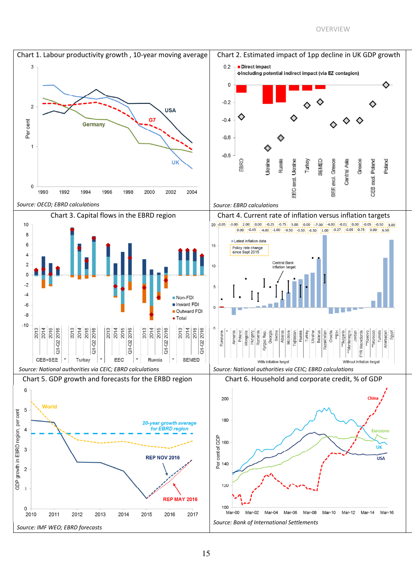#### OVERVIEW

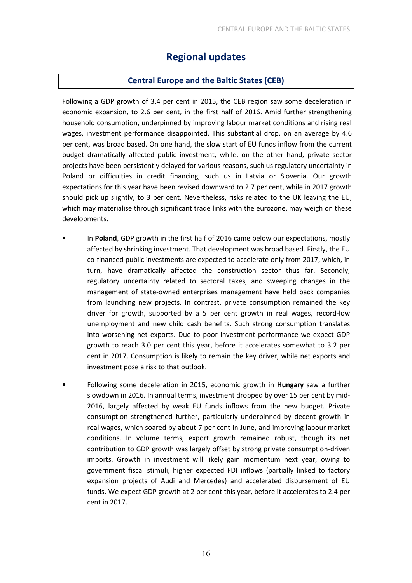## Regional updates

## Central Europe and the Baltic States (CEB)

Following a GDP growth of 3.4 per cent in 2015, the CEB region saw some deceleration in economic expansion, to 2.6 per cent, in the first half of 2016. Amid further strengthening household consumption, underpinned by improving labour market conditions and rising real wages, investment performance disappointed. This substantial drop, on an average by 4.6 per cent, was broad based. On one hand, the slow start of EU funds inflow from the current budget dramatically affected public investment, while, on the other hand, private sector projects have been persistently delayed for various reasons, such us regulatory uncertainty in Poland or difficulties in credit financing, such us in Latvia or Slovenia. Our growth expectations for this year have been revised downward to 2.7 per cent, while in 2017 growth should pick up slightly, to 3 per cent. Nevertheless, risks related to the UK leaving the EU, which may materialise through significant trade links with the eurozone, may weigh on these developments.

- In Poland, GDP growth in the first half of 2016 came below our expectations, mostly affected by shrinking investment. That development was broad based. Firstly, the EU co-financed public investments are expected to accelerate only from 2017, which, in turn, have dramatically affected the construction sector thus far. Secondly, regulatory uncertainty related to sectoral taxes, and sweeping changes in the management of state-owned enterprises management have held back companies from launching new projects. In contrast, private consumption remained the key driver for growth, supported by a 5 per cent growth in real wages, record-low unemployment and new child cash benefits. Such strong consumption translates into worsening net exports. Due to poor investment performance we expect GDP growth to reach 3.0 per cent this year, before it accelerates somewhat to 3.2 per cent in 2017. Consumption is likely to remain the key driver, while net exports and investment pose a risk to that outlook.
- Following some deceleration in 2015, economic growth in **Hungary** saw a further slowdown in 2016. In annual terms, investment dropped by over 15 per cent by mid-2016, largely affected by weak EU funds inflows from the new budget. Private consumption strengthened further, particularly underpinned by decent growth in real wages, which soared by about 7 per cent in June, and improving labour market conditions. In volume terms, export growth remained robust, though its net contribution to GDP growth was largely offset by strong private consumption-driven imports. Growth in investment will likely gain momentum next year, owing to government fiscal stimuli, higher expected FDI inflows (partially linked to factory expansion projects of Audi and Mercedes) and accelerated disbursement of EU funds. We expect GDP growth at 2 per cent this year, before it accelerates to 2.4 per cent in 2017.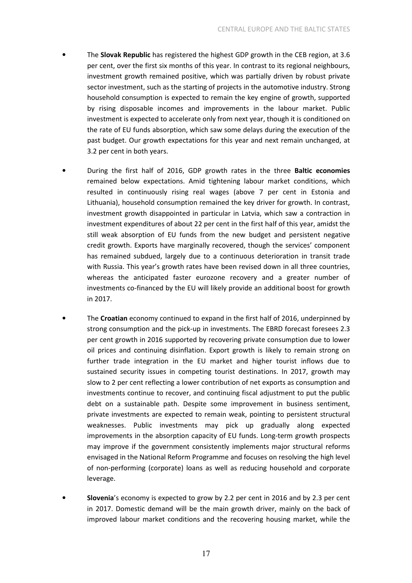- The Slovak Republic has registered the highest GDP growth in the CEB region, at 3.6 per cent, over the first six months of this year. In contrast to its regional neighbours, investment growth remained positive, which was partially driven by robust private sector investment, such as the starting of projects in the automotive industry. Strong household consumption is expected to remain the key engine of growth, supported by rising disposable incomes and improvements in the labour market. Public investment is expected to accelerate only from next year, though it is conditioned on the rate of EU funds absorption, which saw some delays during the execution of the past budget. Our growth expectations for this year and next remain unchanged, at 3.2 per cent in both years.
- During the first half of 2016, GDP growth rates in the three Baltic economies remained below expectations. Amid tightening labour market conditions, which resulted in continuously rising real wages (above 7 per cent in Estonia and Lithuania), household consumption remained the key driver for growth. In contrast, investment growth disappointed in particular in Latvia, which saw a contraction in investment expenditures of about 22 per cent in the first half of this year, amidst the still weak absorption of EU funds from the new budget and persistent negative credit growth. Exports have marginally recovered, though the services' component has remained subdued, largely due to a continuous deterioration in transit trade with Russia. This year's growth rates have been revised down in all three countries, whereas the anticipated faster eurozone recovery and a greater number of investments co-financed by the EU will likely provide an additional boost for growth in 2017.
- The Croatian economy continued to expand in the first half of 2016, underpinned by strong consumption and the pick-up in investments. The EBRD forecast foresees 2.3 per cent growth in 2016 supported by recovering private consumption due to lower oil prices and continuing disinflation. Export growth is likely to remain strong on further trade integration in the EU market and higher tourist inflows due to sustained security issues in competing tourist destinations. In 2017, growth may slow to 2 per cent reflecting a lower contribution of net exports as consumption and investments continue to recover, and continuing fiscal adjustment to put the public debt on a sustainable path. Despite some improvement in business sentiment, private investments are expected to remain weak, pointing to persistent structural weaknesses. Public investments may pick up gradually along expected improvements in the absorption capacity of EU funds. Long-term growth prospects may improve if the government consistently implements major structural reforms envisaged in the National Reform Programme and focuses on resolving the high level of non-performing (corporate) loans as well as reducing household and corporate leverage.
- Slovenia's economy is expected to grow by 2.2 per cent in 2016 and by 2.3 per cent in 2017. Domestic demand will be the main growth driver, mainly on the back of improved labour market conditions and the recovering housing market, while the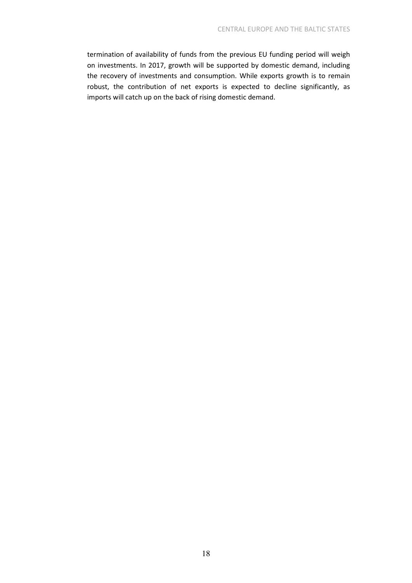termination of availability of funds from the previous EU funding period will weigh on investments. In 2017, growth will be supported by domestic demand, including the recovery of investments and consumption. While exports growth is to remain robust, the contribution of net exports is expected to decline significantly, as imports will catch up on the back of rising domestic demand.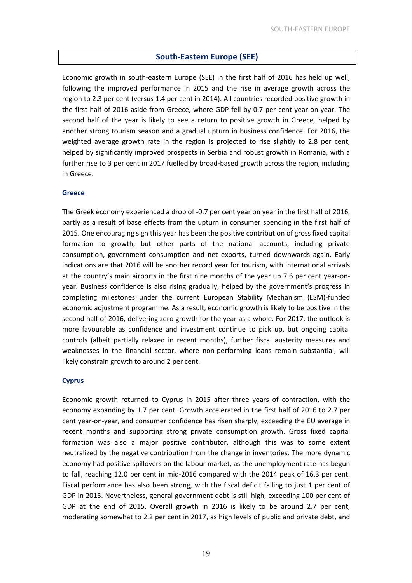## South-Eastern Europe (SEE)

Economic growth in south-eastern Europe (SEE) in the first half of 2016 has held up well, following the improved performance in 2015 and the rise in average growth across the region to 2.3 per cent (versus 1.4 per cent in 2014). All countries recorded positive growth in the first half of 2016 aside from Greece, where GDP fell by 0.7 per cent year-on-year. The second half of the year is likely to see a return to positive growth in Greece, helped by another strong tourism season and a gradual upturn in business confidence. For 2016, the weighted average growth rate in the region is projected to rise slightly to 2.8 per cent, helped by significantly improved prospects in Serbia and robust growth in Romania, with a further rise to 3 per cent in 2017 fuelled by broad-based growth across the region, including in Greece.

## Greece

The Greek economy experienced a drop of -0.7 per cent year on year in the first half of 2016, partly as a result of base effects from the upturn in consumer spending in the first half of 2015. One encouraging sign this year has been the positive contribution of gross fixed capital formation to growth, but other parts of the national accounts, including private consumption, government consumption and net exports, turned downwards again. Early indications are that 2016 will be another record year for tourism, with international arrivals at the country's main airports in the first nine months of the year up 7.6 per cent year-onyear. Business confidence is also rising gradually, helped by the government's progress in completing milestones under the current European Stability Mechanism (ESM)-funded economic adjustment programme. As a result, economic growth is likely to be positive in the second half of 2016, delivering zero growth for the year as a whole. For 2017, the outlook is more favourable as confidence and investment continue to pick up, but ongoing capital controls (albeit partially relaxed in recent months), further fiscal austerity measures and weaknesses in the financial sector, where non-performing loans remain substantial, will likely constrain growth to around 2 per cent.

## **Cyprus**

Economic growth returned to Cyprus in 2015 after three years of contraction, with the economy expanding by 1.7 per cent. Growth accelerated in the first half of 2016 to 2.7 per cent year-on-year, and consumer confidence has risen sharply, exceeding the EU average in recent months and supporting strong private consumption growth. Gross fixed capital formation was also a major positive contributor, although this was to some extent neutralized by the negative contribution from the change in inventories. The more dynamic economy had positive spillovers on the labour market, as the unemployment rate has begun to fall, reaching 12.0 per cent in mid-2016 compared with the 2014 peak of 16.3 per cent. Fiscal performance has also been strong, with the fiscal deficit falling to just 1 per cent of GDP in 2015. Nevertheless, general government debt is still high, exceeding 100 per cent of GDP at the end of 2015. Overall growth in 2016 is likely to be around 2.7 per cent, moderating somewhat to 2.2 per cent in 2017, as high levels of public and private debt, and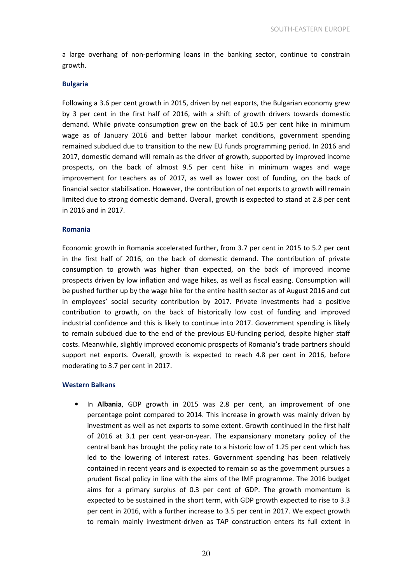a large overhang of non-performing loans in the banking sector, continue to constrain growth.

#### Bulgaria

Following a 3.6 per cent growth in 2015, driven by net exports, the Bulgarian economy grew by 3 per cent in the first half of 2016, with a shift of growth drivers towards domestic demand. While private consumption grew on the back of 10.5 per cent hike in minimum wage as of January 2016 and better labour market conditions, government spending remained subdued due to transition to the new EU funds programming period. In 2016 and 2017, domestic demand will remain as the driver of growth, supported by improved income prospects, on the back of almost 9.5 per cent hike in minimum wages and wage improvement for teachers as of 2017, as well as lower cost of funding, on the back of financial sector stabilisation. However, the contribution of net exports to growth will remain limited due to strong domestic demand. Overall, growth is expected to stand at 2.8 per cent in 2016 and in 2017.

#### Romania

Economic growth in Romania accelerated further, from 3.7 per cent in 2015 to 5.2 per cent in the first half of 2016, on the back of domestic demand. The contribution of private consumption to growth was higher than expected, on the back of improved income prospects driven by low inflation and wage hikes, as well as fiscal easing. Consumption will be pushed further up by the wage hike for the entire health sector as of August 2016 and cut in employees' social security contribution by 2017. Private investments had a positive contribution to growth, on the back of historically low cost of funding and improved industrial confidence and this is likely to continue into 2017. Government spending is likely to remain subdued due to the end of the previous EU-funding period, despite higher staff costs. Meanwhile, slightly improved economic prospects of Romania's trade partners should support net exports. Overall, growth is expected to reach 4.8 per cent in 2016, before moderating to 3.7 per cent in 2017.

#### Western Balkans

In Albania, GDP growth in 2015 was 2.8 per cent, an improvement of one percentage point compared to 2014. This increase in growth was mainly driven by investment as well as net exports to some extent. Growth continued in the first half of 2016 at 3.1 per cent year-on-year. The expansionary monetary policy of the central bank has brought the policy rate to a historic low of 1.25 per cent which has led to the lowering of interest rates. Government spending has been relatively contained in recent years and is expected to remain so as the government pursues a prudent fiscal policy in line with the aims of the IMF programme. The 2016 budget aims for a primary surplus of 0.3 per cent of GDP. The growth momentum is expected to be sustained in the short term, with GDP growth expected to rise to 3.3 per cent in 2016, with a further increase to 3.5 per cent in 2017. We expect growth to remain mainly investment-driven as TAP construction enters its full extent in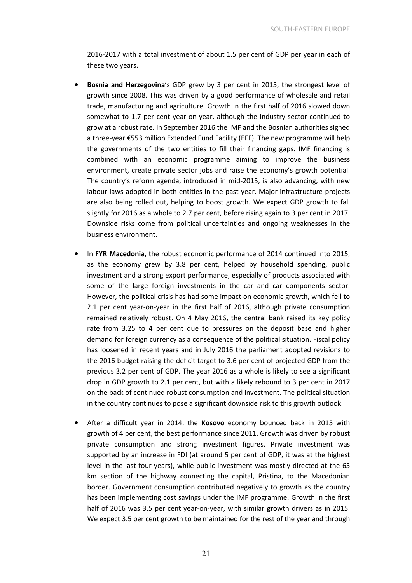2016-2017 with a total investment of about 1.5 per cent of GDP per year in each of these two years.

- Bosnia and Herzegovina's GDP grew by 3 per cent in 2015, the strongest level of growth since 2008. This was driven by a good performance of wholesale and retail trade, manufacturing and agriculture. Growth in the first half of 2016 slowed down somewhat to 1.7 per cent year-on-year, although the industry sector continued to grow at a robust rate. In September 2016 the IMF and the Bosnian authorities signed a three-year €553 million Extended Fund Facility (EFF). The new programme will help the governments of the two entities to fill their financing gaps. IMF financing is combined with an economic programme aiming to improve the business environment, create private sector jobs and raise the economy's growth potential. The country's reform agenda, introduced in mid-2015, is also advancing, with new labour laws adopted in both entities in the past year. Major infrastructure projects are also being rolled out, helping to boost growth. We expect GDP growth to fall slightly for 2016 as a whole to 2.7 per cent, before rising again to 3 per cent in 2017. Downside risks come from political uncertainties and ongoing weaknesses in the business environment.
- In FYR Macedonia, the robust economic performance of 2014 continued into 2015, as the economy grew by 3.8 per cent, helped by household spending, public investment and a strong export performance, especially of products associated with some of the large foreign investments in the car and car components sector. However, the political crisis has had some impact on economic growth, which fell to 2.1 per cent year-on-year in the first half of 2016, although private consumption remained relatively robust. On 4 May 2016, the central bank raised its key policy rate from 3.25 to 4 per cent due to pressures on the deposit base and higher demand for foreign currency as a consequence of the political situation. Fiscal policy has loosened in recent years and in July 2016 the parliament adopted revisions to the 2016 budget raising the deficit target to 3.6 per cent of projected GDP from the previous 3.2 per cent of GDP. The year 2016 as a whole is likely to see a significant drop in GDP growth to 2.1 per cent, but with a likely rebound to 3 per cent in 2017 on the back of continued robust consumption and investment. The political situation in the country continues to pose a significant downside risk to this growth outlook.
- After a difficult year in 2014, the Kosovo economy bounced back in 2015 with growth of 4 per cent, the best performance since 2011. Growth was driven by robust private consumption and strong investment figures. Private investment was supported by an increase in FDI (at around 5 per cent of GDP, it was at the highest level in the last four years), while public investment was mostly directed at the 65 km section of the highway connecting the capital, Pristina, to the Macedonian border. Government consumption contributed negatively to growth as the country has been implementing cost savings under the IMF programme. Growth in the first half of 2016 was 3.5 per cent year-on-year, with similar growth drivers as in 2015. We expect 3.5 per cent growth to be maintained for the rest of the year and through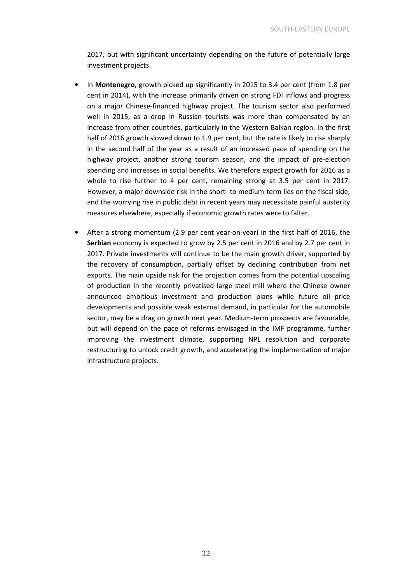2017, but with significant uncertainty depending on the future of potentially large investment projects.

- In **Montenegro**, growth picked up significantly in 2015 to 3.4 per cent (from 1.8 per cent in 2014), with the increase primarily driven on strong FDI inflows and progress on a major Chinese-financed highway project. The tourism sector also performed well in 2015, as a drop in Russian tourists was more than compensated by an increase from other countries, particularly in the Western Balkan region. In the first half of 2016 growth slowed down to 1.9 per cent, but the rate is likely to rise sharply in the second half of the year as a result of an increased pace of spending on the highway project, another strong tourism season, and the impact of pre-election spending and increases in social benefits. We therefore expect growth for 2016 as a whole to rise further to 4 per cent, remaining strong at 3.5 per cent in 2017. However, a major downside risk in the short- to medium-term lies on the fiscal side, and the worrying rise in public debt in recent years may necessitate painful austerity measures elsewhere, especially if economic growth rates were to falter.
- After a strong momentum (2.9 per cent year-on-year) in the first half of 2016, the Serbian economy is expected to grow by 2.5 per cent in 2016 and by 2.7 per cent in 2017. Private investments will continue to be the main growth driver, supported by the recovery of consumption, partially offset by declining contribution from net exports. The main upside risk for the projection comes from the potential upscaling of production in the recently privatised large steel mill where the Chinese owner announced ambitious investment and production plans while future oil price developments and possible weak external demand, in particular for the automobile sector, may be a drag on growth next year. Medium-term prospects are favourable, but will depend on the pace of reforms envisaged in the IMF programme, further improving the investment climate, supporting NPL resolution and corporate restructuring to unlock credit growth, and accelerating the implementation of major infrastructure projects.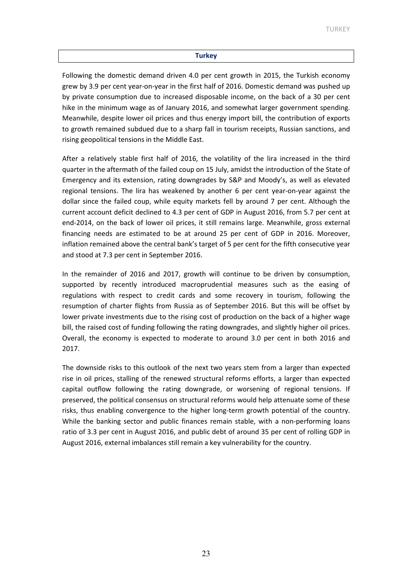#### **Turkey**

Following the domestic demand driven 4.0 per cent growth in 2015, the Turkish economy grew by 3.9 per cent year-on-year in the first half of 2016. Domestic demand was pushed up by private consumption due to increased disposable income, on the back of a 30 per cent hike in the minimum wage as of January 2016, and somewhat larger government spending. Meanwhile, despite lower oil prices and thus energy import bill, the contribution of exports to growth remained subdued due to a sharp fall in tourism receipts, Russian sanctions, and rising geopolitical tensions in the Middle East.

After a relatively stable first half of 2016, the volatility of the lira increased in the third quarter in the aftermath of the failed coup on 15 July, amidst the introduction of the State of Emergency and its extension, rating downgrades by S&P and Moody's, as well as elevated regional tensions. The lira has weakened by another 6 per cent year-on-year against the dollar since the failed coup, while equity markets fell by around 7 per cent. Although the current account deficit declined to 4.3 per cent of GDP in August 2016, from 5.7 per cent at end-2014, on the back of lower oil prices, it still remains large. Meanwhile, gross external financing needs are estimated to be at around 25 per cent of GDP in 2016. Moreover, inflation remained above the central bank's target of 5 per cent for the fifth consecutive year and stood at 7.3 per cent in September 2016.

In the remainder of 2016 and 2017, growth will continue to be driven by consumption, supported by recently introduced macroprudential measures such as the easing of regulations with respect to credit cards and some recovery in tourism, following the resumption of charter flights from Russia as of September 2016. But this will be offset by lower private investments due to the rising cost of production on the back of a higher wage bill, the raised cost of funding following the rating downgrades, and slightly higher oil prices. Overall, the economy is expected to moderate to around 3.0 per cent in both 2016 and 2017.

The downside risks to this outlook of the next two years stem from a larger than expected rise in oil prices, stalling of the renewed structural reforms efforts, a larger than expected capital outflow following the rating downgrade, or worsening of regional tensions. If preserved, the political consensus on structural reforms would help attenuate some of these risks, thus enabling convergence to the higher long-term growth potential of the country. While the banking sector and public finances remain stable, with a non-performing loans ratio of 3.3 per cent in August 2016, and public debt of around 35 per cent of rolling GDP in August 2016, external imbalances still remain a key vulnerability for the country.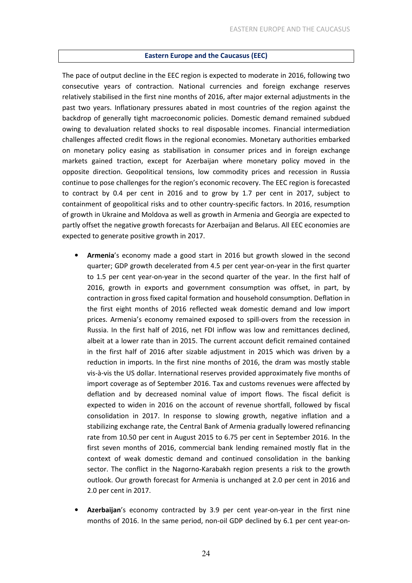## Eastern Europe and the Caucasus (EEC)

The pace of output decline in the EEC region is expected to moderate in 2016, following two consecutive years of contraction. National currencies and foreign exchange reserves relatively stabilised in the first nine months of 2016, after major external adjustments in the past two years. Inflationary pressures abated in most countries of the region against the backdrop of generally tight macroeconomic policies. Domestic demand remained subdued owing to devaluation related shocks to real disposable incomes. Financial intermediation challenges affected credit flows in the regional economies. Monetary authorities embarked on monetary policy easing as stabilisation in consumer prices and in foreign exchange markets gained traction, except for Azerbaijan where monetary policy moved in the opposite direction. Geopolitical tensions, low commodity prices and recession in Russia continue to pose challenges for the region's economic recovery. The EEC region is forecasted to contract by 0.4 per cent in 2016 and to grow by 1.7 per cent in 2017, subject to containment of geopolitical risks and to other country-specific factors. In 2016, resumption of growth in Ukraine and Moldova as well as growth in Armenia and Georgia are expected to partly offset the negative growth forecasts for Azerbaijan and Belarus. All EEC economies are expected to generate positive growth in 2017.

- Armenia's economy made a good start in 2016 but growth slowed in the second quarter; GDP growth decelerated from 4.5 per cent year-on-year in the first quarter to 1.5 per cent year-on-year in the second quarter of the year. In the first half of 2016, growth in exports and government consumption was offset, in part, by contraction in gross fixed capital formation and household consumption. Deflation in the first eight months of 2016 reflected weak domestic demand and low import prices. Armenia's economy remained exposed to spill-overs from the recession in Russia. In the first half of 2016, net FDI inflow was low and remittances declined, albeit at a lower rate than in 2015. The current account deficit remained contained in the first half of 2016 after sizable adjustment in 2015 which was driven by a reduction in imports. In the first nine months of 2016, the dram was mostly stable vis-à-vis the US dollar. International reserves provided approximately five months of import coverage as of September 2016. Tax and customs revenues were affected by deflation and by decreased nominal value of import flows. The fiscal deficit is expected to widen in 2016 on the account of revenue shortfall, followed by fiscal consolidation in 2017. In response to slowing growth, negative inflation and a stabilizing exchange rate, the Central Bank of Armenia gradually lowered refinancing rate from 10.50 per cent in August 2015 to 6.75 per cent in September 2016. In the first seven months of 2016, commercial bank lending remained mostly flat in the context of weak domestic demand and continued consolidation in the banking sector. The conflict in the Nagorno-Karabakh region presents a risk to the growth outlook. Our growth forecast for Armenia is unchanged at 2.0 per cent in 2016 and 2.0 per cent in 2017.
- Azerbaijan's economy contracted by 3.9 per cent year-on-year in the first nine months of 2016. In the same period, non-oil GDP declined by 6.1 per cent year-on-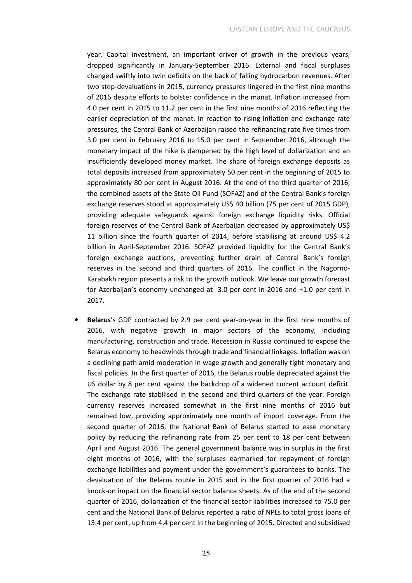year. Capital investment, an important driver of growth in the previous years, dropped significantly in January-September 2016. External and fiscal surpluses changed swiftly into twin deficits on the back of falling hydrocarbon revenues. After two step-devaluations in 2015, currency pressures lingered in the first nine months of 2016 despite efforts to bolster confidence in the manat. Inflation increased from 4.0 per cent in 2015 to 11.2 per cent in the first nine months of 2016 reflecting the earlier depreciation of the manat. In reaction to rising inflation and exchange rate pressures, the Central Bank of Azerbaijan raised the refinancing rate five times from 3.0 per cent in February 2016 to 15.0 per cent in September 2016, although the monetary impact of the hike is dampened by the high level of dollarization and an insufficiently developed money market. The share of foreign exchange deposits as total deposits increased from approximately 50 per cent in the beginning of 2015 to approximately 80 per cent in August 2016. At the end of the third quarter of 2016, the combined assets of the State Oil Fund (SOFAZ) and of the Central Bank's foreign exchange reserves stood at approximately US\$ 40 billion (75 per cent of 2015 GDP), providing adequate safeguards against foreign exchange liquidity risks. Official foreign reserves of the Central Bank of Azerbaijan decreased by approximately US\$ 11 billion since the fourth quarter of 2014, before stabilising at around US\$ 4.2 billion in April-September 2016. SOFAZ provided liquidity for the Central Bank's foreign exchange auctions, preventing further drain of Central Bank's foreign reserves in the second and third quarters of 2016. The conflict in the Nagorno-Karabakh region presents a risk to the growth outlook. We leave our growth forecast for Azerbaijan's economy unchanged at -3.0 per cent in 2016 and +1.0 per cent in 2017.

• Belarus's GDP contracted by 2.9 per cent year-on-year in the first nine months of 2016, with negative growth in major sectors of the economy, including manufacturing, construction and trade. Recession in Russia continued to expose the Belarus economy to headwinds through trade and financial linkages. Inflation was on a declining path amid moderation in wage growth and generally tight monetary and fiscal policies. In the first quarter of 2016, the Belarus rouble depreciated against the US dollar by 8 per cent against the backdrop of a widened current account deficit. The exchange rate stabilised in the second and third quarters of the year. Foreign currency reserves increased somewhat in the first nine months of 2016 but remained low, providing approximately one month of import coverage. From the second quarter of 2016, the National Bank of Belarus started to ease monetary policy by reducing the refinancing rate from 25 per cent to 18 per cent between April and August 2016. The general government balance was in surplus in the first eight months of 2016, with the surpluses earmarked for repayment of foreign exchange liabilities and payment under the government's guarantees to banks. The devaluation of the Belarus rouble in 2015 and in the first quarter of 2016 had a knock-on impact on the financial sector balance sheets. As of the end of the second quarter of 2016, dollarization of the financial sector liabilities increased to 75.0 per cent and the National Bank of Belarus reported a ratio of NPLs to total gross loans of 13.4 per cent, up from 4.4 per cent in the beginning of 2015. Directed and subsidised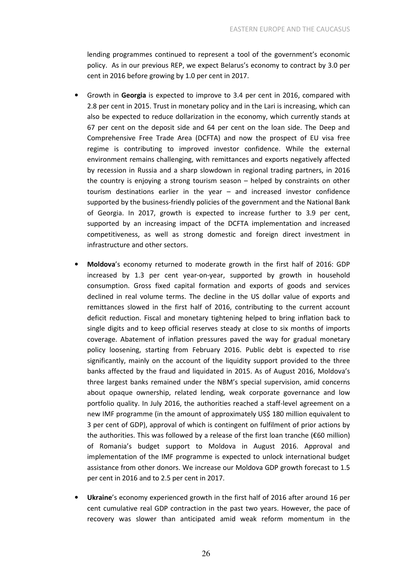lending programmes continued to represent a tool of the government's economic policy. As in our previous REP, we expect Belarus's economy to contract by 3.0 per cent in 2016 before growing by 1.0 per cent in 2017.

- Growth in Georgia is expected to improve to 3.4 per cent in 2016, compared with 2.8 per cent in 2015. Trust in monetary policy and in the Lari is increasing, which can also be expected to reduce dollarization in the economy, which currently stands at 67 per cent on the deposit side and 64 per cent on the loan side. The Deep and Comprehensive Free Trade Area (DCFTA) and now the prospect of EU visa free regime is contributing to improved investor confidence. While the external environment remains challenging, with remittances and exports negatively affected by recession in Russia and a sharp slowdown in regional trading partners, in 2016 the country is enjoying a strong tourism season – helped by constraints on other tourism destinations earlier in the year – and increased investor confidence supported by the business-friendly policies of the government and the National Bank of Georgia. In 2017, growth is expected to increase further to 3.9 per cent, supported by an increasing impact of the DCFTA implementation and increased competitiveness, as well as strong domestic and foreign direct investment in infrastructure and other sectors.
- Moldova's economy returned to moderate growth in the first half of 2016: GDP increased by 1.3 per cent year-on-year, supported by growth in household consumption. Gross fixed capital formation and exports of goods and services declined in real volume terms. The decline in the US dollar value of exports and remittances slowed in the first half of 2016, contributing to the current account deficit reduction. Fiscal and monetary tightening helped to bring inflation back to single digits and to keep official reserves steady at close to six months of imports coverage. Abatement of inflation pressures paved the way for gradual monetary policy loosening, starting from February 2016. Public debt is expected to rise significantly, mainly on the account of the liquidity support provided to the three banks affected by the fraud and liquidated in 2015. As of August 2016, Moldova's three largest banks remained under the NBM's special supervision, amid concerns about opaque ownership, related lending, weak corporate governance and low portfolio quality. In July 2016, the authorities reached a staff-level agreement on a new IMF programme (in the amount of approximately US\$ 180 million equivalent to 3 per cent of GDP), approval of which is contingent on fulfilment of prior actions by the authorities. This was followed by a release of the first loan tranche (€60 million) of Romania's budget support to Moldova in August 2016. Approval and implementation of the IMF programme is expected to unlock international budget assistance from other donors. We increase our Moldova GDP growth forecast to 1.5 per cent in 2016 and to 2.5 per cent in 2017.
- Ukraine's economy experienced growth in the first half of 2016 after around 16 per cent cumulative real GDP contraction in the past two years. However, the pace of recovery was slower than anticipated amid weak reform momentum in the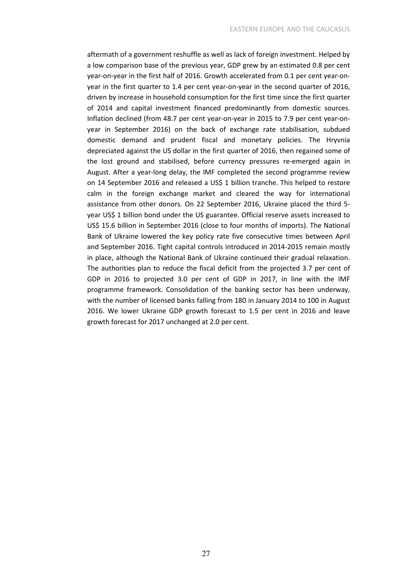aftermath of a government reshuffle as well as lack of foreign investment. Helped by a low comparison base of the previous year, GDP grew by an estimated 0.8 per cent year-on-year in the first half of 2016. Growth accelerated from 0.1 per cent year-onyear in the first quarter to 1.4 per cent year-on-year in the second quarter of 2016, driven by increase in household consumption for the first time since the first quarter of 2014 and capital investment financed predominantly from domestic sources. Inflation declined (from 48.7 per cent year-on-year in 2015 to 7.9 per cent year-onyear in September 2016) on the back of exchange rate stabilisation, subdued domestic demand and prudent fiscal and monetary policies. The Hryvnia depreciated against the US dollar in the first quarter of 2016, then regained some of the lost ground and stabilised, before currency pressures re-emerged again in August. After a year-long delay, the IMF completed the second programme review on 14 September 2016 and released a US\$ 1 billion tranche. This helped to restore calm in the foreign exchange market and cleared the way for international assistance from other donors. On 22 September 2016, Ukraine placed the third 5 year US\$ 1 billion bond under the US guarantee. Official reserve assets increased to US\$ 15.6 billion in September 2016 (close to four months of imports). The National Bank of Ukraine lowered the key policy rate five consecutive times between April and September 2016. Tight capital controls introduced in 2014-2015 remain mostly in place, although the National Bank of Ukraine continued their gradual relaxation. The authorities plan to reduce the fiscal deficit from the projected 3.7 per cent of GDP in 2016 to projected 3.0 per cent of GDP in 2017, in line with the IMF programme framework. Consolidation of the banking sector has been underway, with the number of licensed banks falling from 180 in January 2014 to 100 in August 2016. We lower Ukraine GDP growth forecast to 1.5 per cent in 2016 and leave growth forecast for 2017 unchanged at 2.0 per cent.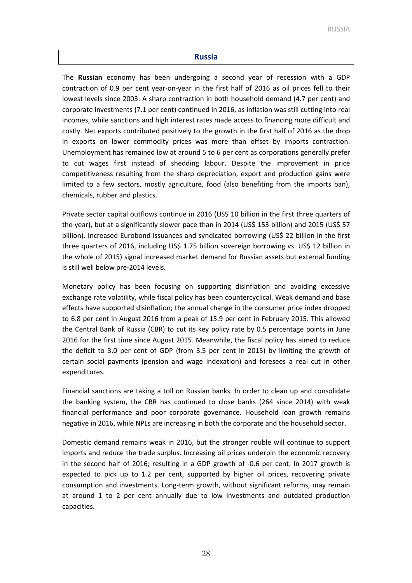#### Russia

The Russian economy has been undergoing a second year of recession with a GDP contraction of 0.9 per cent year-on-year in the first half of 2016 as oil prices fell to their lowest levels since 2003. A sharp contraction in both household demand (4.7 per cent) and corporate investments (7.1 per cent) continued in 2016, as inflation was still cutting into real incomes, while sanctions and high interest rates made access to financing more difficult and costly. Net exports contributed positively to the growth in the first half of 2016 as the drop in exports on lower commodity prices was more than offset by imports contraction. Unemployment has remained low at around 5 to 6 per cent as corporations generally prefer to cut wages first instead of shedding labour. Despite the improvement in price competitiveness resulting from the sharp depreciation, export and production gains were limited to a few sectors, mostly agriculture, food (also benefiting from the imports ban), chemicals, rubber and plastics.

Private sector capital outflows continue in 2016 (US\$ 10 billion in the first three quarters of the year), but at a significantly slower pace than in 2014 (US\$ 153 billion) and 2015 (US\$ 57 billion). Increased Eurobond issuances and syndicated borrowing (US\$ 22 billion in the first three quarters of 2016, including US\$ 1.75 billion sovereign borrowing vs. US\$ 12 billion in the whole of 2015) signal increased market demand for Russian assets but external funding is still well below pre-2014 levels.

Monetary policy has been focusing on supporting disinflation and avoiding excessive exchange rate volatility, while fiscal policy has been countercyclical. Weak demand and base effects have supported disinflation; the annual change in the consumer price index dropped to 6.8 per cent in August 2016 from a peak of 15.9 per cent in February 2015. This allowed the Central Bank of Russia (CBR) to cut its key policy rate by 0.5 percentage points in June 2016 for the first time since August 2015. Meanwhile, the fiscal policy has aimed to reduce the deficit to 3.0 per cent of GDP (from 3.5 per cent in 2015) by limiting the growth of certain social payments (pension and wage indexation) and foresees a real cut in other expenditures.

Financial sanctions are taking a toll on Russian banks. In order to clean up and consolidate the banking system, the CBR has continued to close banks (264 since 2014) with weak financial performance and poor corporate governance. Household loan growth remains negative in 2016, while NPLs are increasing in both the corporate and the household sector.

Domestic demand remains weak in 2016, but the stronger rouble will continue to support imports and reduce the trade surplus. Increasing oil prices underpin the economic recovery in the second half of 2016; resulting in a GDP growth of -0.6 per cent. In 2017 growth is expected to pick up to 1.2 per cent, supported by higher oil prices, recovering private consumption and investments. Long-term growth, without significant reforms, may remain at around 1 to 2 per cent annually due to low investments and outdated production capacities.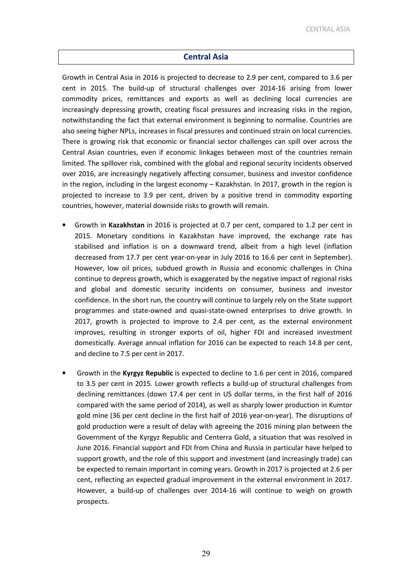## Central Asia

Growth in Central Asia in 2016 is projected to decrease to 2.9 per cent, compared to 3.6 per cent in 2015. The build-up of structural challenges over 2014-16 arising from lower commodity prices, remittances and exports as well as declining local currencies are increasingly depressing growth, creating fiscal pressures and increasing risks in the region, notwithstanding the fact that external environment is beginning to normalise. Countries are also seeing higher NPLs, increases in fiscal pressures and continued strain on local currencies. There is growing risk that economic or financial sector challenges can spill over across the Central Asian countries, even if economic linkages between most of the countries remain limited. The spillover risk, combined with the global and regional security incidents observed over 2016, are increasingly negatively affecting consumer, business and investor confidence in the region, including in the largest economy – Kazakhstan. In 2017, growth in the region is projected to increase to 3.9 per cent, driven by a positive trend in commodity exporting countries, however, material downside risks to growth will remain.

- Growth in Kazakhstan in 2016 is projected at 0.7 per cent, compared to 1.2 per cent in 2015. Monetary conditions in Kazakhstan have improved, the exchange rate has stabilised and inflation is on a downward trend, albeit from a high level (inflation decreased from 17.7 per cent year-on-year in July 2016 to 16.6 per cent in September). However, low oil prices, subdued growth in Russia and economic challenges in China continue to depress growth, which is exaggerated by the negative impact of regional risks and global and domestic security incidents on consumer, business and investor confidence. In the short run, the country will continue to largely rely on the State support programmes and state-owned and quasi-state-owned enterprises to drive growth. In 2017, growth is projected to improve to 2.4 per cent, as the external environment improves, resulting in stronger exports of oil, higher FDI and increased investment domestically. Average annual inflation for 2016 can be expected to reach 14.8 per cent, and decline to 7.5 per cent in 2017.
- Growth in the Kyrgyz Republic is expected to decline to 1.6 per cent in 2016, compared to 3.5 per cent in 2015. Lower growth reflects a build-up of structural challenges from declining remittances (down 17.4 per cent in US dollar terms, in the first half of 2016 compared with the same period of 2014), as well as sharply lower production in Kumtor gold mine (36 per cent decline in the first half of 2016 year-on-year). The disruptions of gold production were a result of delay with agreeing the 2016 mining plan between the Government of the Kyrgyz Republic and Centerra Gold, a situation that was resolved in June 2016. Financial support and FDI from China and Russia in particular have helped to support growth, and the role of this support and investment (and increasingly trade) can be expected to remain important in coming years. Growth in 2017 is projected at 2.6 per cent, reflecting an expected gradual improvement in the external environment in 2017. However, a build-up of challenges over 2014-16 will continue to weigh on growth prospects.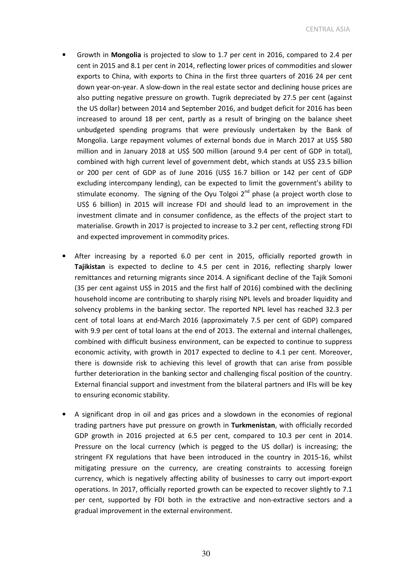- Growth in Mongolia is projected to slow to 1.7 per cent in 2016, compared to 2.4 per cent in 2015 and 8.1 per cent in 2014, reflecting lower prices of commodities and slower exports to China, with exports to China in the first three quarters of 2016 24 per cent down year-on-year. A slow-down in the real estate sector and declining house prices are also putting negative pressure on growth. Tugrik depreciated by 27.5 per cent (against the US dollar) between 2014 and September 2016, and budget deficit for 2016 has been increased to around 18 per cent, partly as a result of bringing on the balance sheet unbudgeted spending programs that were previously undertaken by the Bank of Mongolia. Large repayment volumes of external bonds due in March 2017 at US\$ 580 million and in January 2018 at US\$ 500 million (around 9.4 per cent of GDP in total), combined with high current level of government debt, which stands at US\$ 23.5 billion or 200 per cent of GDP as of June 2016 (US\$ 16.7 billion or 142 per cent of GDP excluding intercompany lending), can be expected to limit the government's ability to stimulate economy. The signing of the Oyu Tolgoi  $2^{nd}$  phase (a project worth close to US\$ 6 billion) in 2015 will increase FDI and should lead to an improvement in the investment climate and in consumer confidence, as the effects of the project start to materialise. Growth in 2017 is projected to increase to 3.2 per cent, reflecting strong FDI and expected improvement in commodity prices.
- After increasing by a reported 6.0 per cent in 2015, officially reported growth in Tajikistan is expected to decline to 4.5 per cent in 2016, reflecting sharply lower remittances and returning migrants since 2014. A significant decline of the Tajik Somoni (35 per cent against US\$ in 2015 and the first half of 2016) combined with the declining household income are contributing to sharply rising NPL levels and broader liquidity and solvency problems in the banking sector. The reported NPL level has reached 32.3 per cent of total loans at end-March 2016 (approximately 7.5 per cent of GDP) compared with 9.9 per cent of total loans at the end of 2013. The external and internal challenges, combined with difficult business environment, can be expected to continue to suppress economic activity, with growth in 2017 expected to decline to 4.1 per cent. Moreover, there is downside risk to achieving this level of growth that can arise from possible further deterioration in the banking sector and challenging fiscal position of the country. External financial support and investment from the bilateral partners and IFIs will be key to ensuring economic stability.
- A significant drop in oil and gas prices and a slowdown in the economies of regional trading partners have put pressure on growth in Turkmenistan, with officially recorded GDP growth in 2016 projected at 6.5 per cent, compared to 10.3 per cent in 2014. Pressure on the local currency (which is pegged to the US dollar) is increasing; the stringent FX regulations that have been introduced in the country in 2015-16, whilst mitigating pressure on the currency, are creating constraints to accessing foreign currency, which is negatively affecting ability of businesses to carry out import-export operations. In 2017, officially reported growth can be expected to recover slightly to 7.1 per cent, supported by FDI both in the extractive and non-extractive sectors and a gradual improvement in the external environment.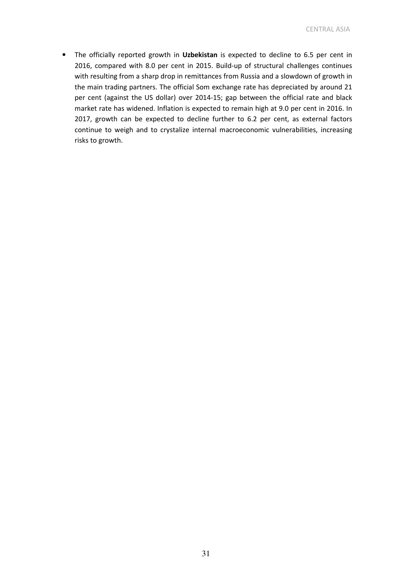• The officially reported growth in Uzbekistan is expected to decline to 6.5 per cent in 2016, compared with 8.0 per cent in 2015. Build-up of structural challenges continues with resulting from a sharp drop in remittances from Russia and a slowdown of growth in the main trading partners. The official Som exchange rate has depreciated by around 21 per cent (against the US dollar) over 2014-15; gap between the official rate and black market rate has widened. Inflation is expected to remain high at 9.0 per cent in 2016. In 2017, growth can be expected to decline further to 6.2 per cent, as external factors continue to weigh and to crystalize internal macroeconomic vulnerabilities, increasing risks to growth.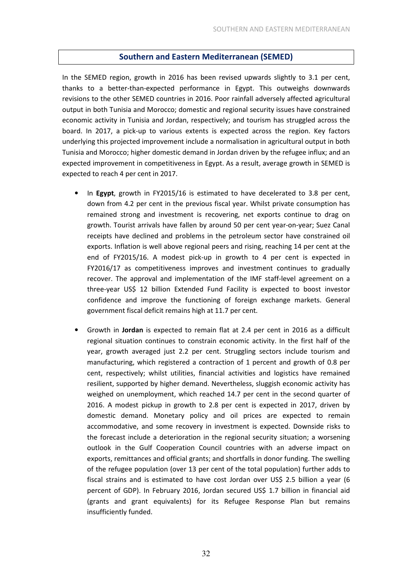## Southern and Eastern Mediterranean (SEMED)

In the SEMED region, growth in 2016 has been revised upwards slightly to 3.1 per cent, thanks to a better-than-expected performance in Egypt. This outweighs downwards revisions to the other SEMED countries in 2016. Poor rainfall adversely affected agricultural output in both Tunisia and Morocco; domestic and regional security issues have constrained economic activity in Tunisia and Jordan, respectively; and tourism has struggled across the board. In 2017, a pick-up to various extents is expected across the region. Key factors underlying this projected improvement include a normalisation in agricultural output in both Tunisia and Morocco; higher domestic demand in Jordan driven by the refugee influx; and an expected improvement in competitiveness in Egypt. As a result, average growth in SEMED is expected to reach 4 per cent in 2017.

- In Egypt, growth in FY2015/16 is estimated to have decelerated to 3.8 per cent, down from 4.2 per cent in the previous fiscal year. Whilst private consumption has remained strong and investment is recovering, net exports continue to drag on growth. Tourist arrivals have fallen by around 50 per cent year-on-year; Suez Canal receipts have declined and problems in the petroleum sector have constrained oil exports. Inflation is well above regional peers and rising, reaching 14 per cent at the end of FY2015/16. A modest pick-up in growth to 4 per cent is expected in FY2016/17 as competitiveness improves and investment continues to gradually recover. The approval and implementation of the IMF staff-level agreement on a three-year US\$ 12 billion Extended Fund Facility is expected to boost investor confidence and improve the functioning of foreign exchange markets. General government fiscal deficit remains high at 11.7 per cent.
- Growth in Jordan is expected to remain flat at 2.4 per cent in 2016 as a difficult regional situation continues to constrain economic activity. In the first half of the year, growth averaged just 2.2 per cent. Struggling sectors include tourism and manufacturing, which registered a contraction of 1 percent and growth of 0.8 per cent, respectively; whilst utilities, financial activities and logistics have remained resilient, supported by higher demand. Nevertheless, sluggish economic activity has weighed on unemployment, which reached 14.7 per cent in the second quarter of 2016. A modest pickup in growth to 2.8 per cent is expected in 2017, driven by domestic demand. Monetary policy and oil prices are expected to remain accommodative, and some recovery in investment is expected. Downside risks to the forecast include a deterioration in the regional security situation; a worsening outlook in the Gulf Cooperation Council countries with an adverse impact on exports, remittances and official grants; and shortfalls in donor funding. The swelling of the refugee population (over 13 per cent of the total population) further adds to fiscal strains and is estimated to have cost Jordan over US\$ 2.5 billion a year (6 percent of GDP). In February 2016, Jordan secured US\$ 1.7 billion in financial aid (grants and grant equivalents) for its Refugee Response Plan but remains insufficiently funded.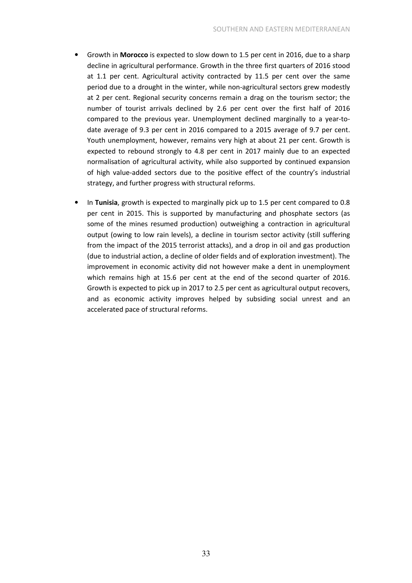- Growth in Morocco is expected to slow down to 1.5 per cent in 2016, due to a sharp decline in agricultural performance. Growth in the three first quarters of 2016 stood at 1.1 per cent. Agricultural activity contracted by 11.5 per cent over the same period due to a drought in the winter, while non-agricultural sectors grew modestly at 2 per cent. Regional security concerns remain a drag on the tourism sector; the number of tourist arrivals declined by 2.6 per cent over the first half of 2016 compared to the previous year. Unemployment declined marginally to a year-todate average of 9.3 per cent in 2016 compared to a 2015 average of 9.7 per cent. Youth unemployment, however, remains very high at about 21 per cent. Growth is expected to rebound strongly to 4.8 per cent in 2017 mainly due to an expected normalisation of agricultural activity, while also supported by continued expansion of high value-added sectors due to the positive effect of the country's industrial strategy, and further progress with structural reforms.
- In Tunisia, growth is expected to marginally pick up to 1.5 per cent compared to 0.8 per cent in 2015. This is supported by manufacturing and phosphate sectors (as some of the mines resumed production) outweighing a contraction in agricultural output (owing to low rain levels), a decline in tourism sector activity (still suffering from the impact of the 2015 terrorist attacks), and a drop in oil and gas production (due to industrial action, a decline of older fields and of exploration investment). The improvement in economic activity did not however make a dent in unemployment which remains high at 15.6 per cent at the end of the second quarter of 2016. Growth is expected to pick up in 2017 to 2.5 per cent as agricultural output recovers, and as economic activity improves helped by subsiding social unrest and an accelerated pace of structural reforms.